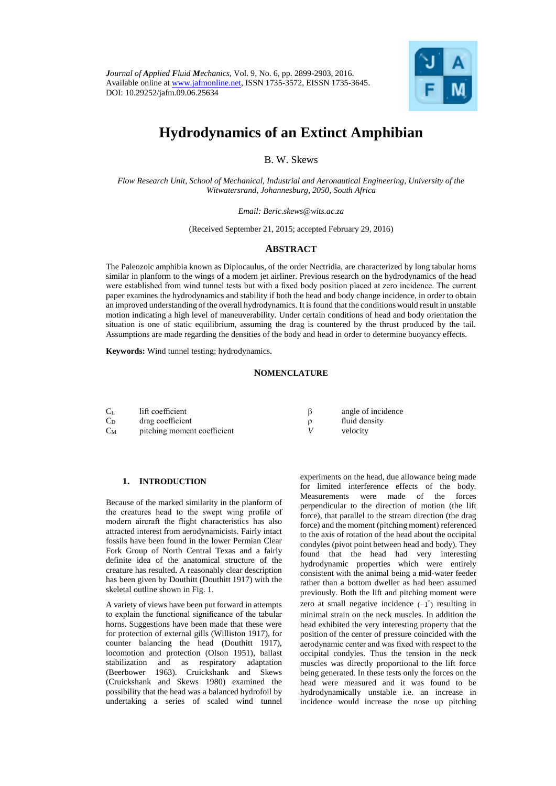

# **Hydrodynamics of an Extinct Amphibian**

B. W. Skews

*Flow Research Unit, School of Mechanical, Industrial and Aeronautical Engineering, University of the Witwatersrand, Johannesburg, 2050, South Africa*

*Email: Beric.skews@wits.ac.za*

(Received September 21, 2015; accepted February 29, 2016)

### **ABSTRACT**

The Paleozoic amphibia known as Diplocaulus, of the order Nectridia, are characterized by long tabular horns similar in planform to the wings of a modern jet airliner. Previous research on the hydrodynamics of the head were established from wind tunnel tests but with a fixed body position placed at zero incidence. The current paper examines the hydrodynamics and stability if both the head and body change incidence, in order to obtain an improved understanding of the overall hydrodynamics. It is found that the conditions would result in unstable motion indicating a high level of maneuverability. Under certain conditions of head and body orientation the situation is one of static equilibrium, assuming the drag is countered by the thrust produced by the tail. Assumptions are made regarding the densities of the body and head in order to determine buoyancy effects.

**Keywords:** Wind tunnel testing; hydrodynamics.

## **NOMENCLATURE**

| C <sub>L</sub> | lift coefficient            | angle of incidence |
|----------------|-----------------------------|--------------------|
| C <sub>D</sub> | drag coefficient            | fluid density      |
| $C_M$          | pitching moment coefficient | velocity           |

#### **1. INTRODUCTION**

Because of the marked similarity in the planform of the creatures head to the swept wing profile of modern aircraft the flight characteristics has also attracted interest from aerodynamicists. Fairly intact fossils have been found in the lower Permian Clear Fork Group of North Central Texas and a fairly definite idea of the anatomical structure of the creature has resulted. A reasonably clear description has been given by Douthitt (Douthitt 1917) with the skeletal outline shown in Fig. 1.

A variety of views have been put forward in attempts to explain the functional significance of the tabular horns. Suggestions have been made that these were for protection of external gills (Williston 1917), for counter balancing the head (Douthitt 1917), locomotion and protection (Olson 1951), ballast stabilization and as respiratory adaptation (Beerbower 1963). Cruickshank and Skews (Cruickshank and Skews 1980) examined the possibility that the head was a balanced hydrofoil by undertaking a series of scaled wind tunnel

experiments on the head, due allowance being made for limited interference effects of the body. Measurements were made of the forces perpendicular to the direction of motion (the lift force), that parallel to the stream direction (the drag force) and the moment (pitching moment) referenced to the axis of rotation of the head about the occipital condyles (pivot point between head and body). They found that the head had very interesting hydrodynamic properties which were entirely consistent with the animal being a mid-water feeder rather than a bottom dweller as had been assumed previously. Both the lift and pitching moment were zero at small negative incidence  $(-1)$ <sup>°</sup> resulting in minimal strain on the neck muscles. In addition the head exhibited the very interesting property that the position of the center of pressure coincided with the aerodynamic center and was fixed with respect to the occipital condyles. Thus the tension in the neck muscles was directly proportional to the lift force being generated. In these tests only the forces on the head were measured and it was found to be hydrodynamically unstable i.e. an increase in incidence would increase the nose up pitching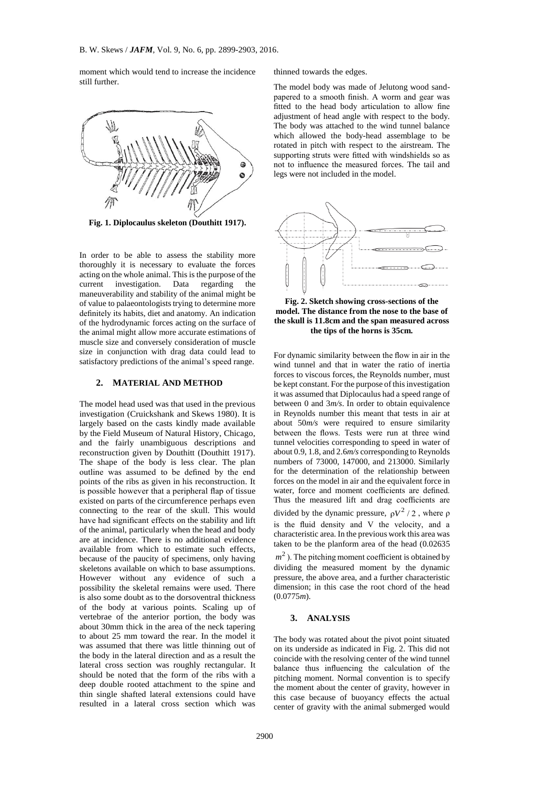moment which would tend to increase the incidence still further.



**Fig. 1. Diplocaulus skeleton (Douthitt 1917).**

In order to be able to assess the stability more thoroughly it is necessary to evaluate the forces acting on the whole animal. This is the purpose of the current investigation. Data regarding the maneuverability and stability of the animal might be of value to palaeontologists trying to determine more definitely its habits, diet and anatomy. An indication of the hydrodynamic forces acting on the surface of the animal might allow more accurate estimations of muscle size and conversely consideration of muscle size in conjunction with drag data could lead to satisfactory predictions of the animal's speed range.

## **2. MATERIAL AND METHOD**

The model head used was that used in the previous investigation (Cruickshank and Skews 1980). It is largely based on the casts kindly made available by the Field Museum of Natural History, Chicago, and the fairly unambiguous descriptions and reconstruction given by Douthitt (Douthitt 1917). The shape of the body is less clear. The plan outline was assumed to be defined by the end points of the ribs as given in his reconstruction. It is possible however that a peripheral flap of tissue existed on parts of the circumference perhaps even connecting to the rear of the skull. This would have had significant effects on the stability and lift of the animal, particularly when the head and body are at incidence. There is no additional evidence available from which to estimate such effects, because of the paucity of specimens, only having skeletons available on which to base assumptions. However without any evidence of such a possibility the skeletal remains were used. There is also some doubt as to the dorsoventral thickness of the body at various points. Scaling up of vertebrae of the anterior portion, the body was about 30mm thick in the area of the neck tapering to about 25 mm toward the rear. In the model it was assumed that there was little thinning out of the body in the lateral direction and as a result the lateral cross section was roughly rectangular. It should be noted that the form of the ribs with a deep double rooted attachment to the spine and thin single shafted lateral extensions could have resulted in a lateral cross section which was

thinned towards the edges.

The model body was made of Jelutong wood sandpapered to a smooth finish. A worm and gear was fitted to the head body articulation to allow fine adjustment of head angle with respect to the body. The body was attached to the wind tunnel balance which allowed the body-head assemblage to be rotated in pitch with respect to the airstream. The supporting struts were fitted with windshields so as not to influence the measured forces. The tail and legs were not included in the model.



**Fig. 2. Sketch showing cross-sections of the model. The distance from the nose to the base of the skull is 11.8cm and the span measured across the tips of the horns is 35cm.**

For dynamic similarity between the flow in air in the wind tunnel and that in water the ratio of inertia forces to viscous forces, the Reynolds number, must be kept constant. For the purpose of this investigation it was assumed that Diplocaulus had a speed range of between 0 and 3*m/s*. In order to obtain equivalence in Reynolds number this meant that tests in air at about 50*m/s* were required to ensure similarity between the flows. Tests were run at three wind tunnel velocities corresponding to speed in water of about 0.9, 1.8, and 2.6*m/s* corresponding to Reynolds numbers of 73000, 147000, and 213000. Similarly for the determination of the relationship between forces on the model in air and the equivalent force in water, force and moment coefficients are defined. Thus the measured lift and drag coefficients are divided by the dynamic pressure,  $\rho V^2/2$ , where  $\rho$ is the fluid density and V the velocity, and a characteristic area. In the previous work this area was taken to be the planform area of the head (0.02635

 $m<sup>2</sup>$ ). The pitching moment coefficient is obtained by dividing the measured moment by the dynamic pressure, the above area, and a further characteristic dimension; in this case the root chord of the head (0.0775*m*).

## **3. ANALYSIS**

The body was rotated about the pivot point situated on its underside as indicated in Fig. 2. This did not coincide with the resolving center of the wind tunnel balance thus influencing the calculation of the pitching moment. Normal convention is to specify the moment about the center of gravity, however in this case because of buoyancy effects the actual center of gravity with the animal submerged would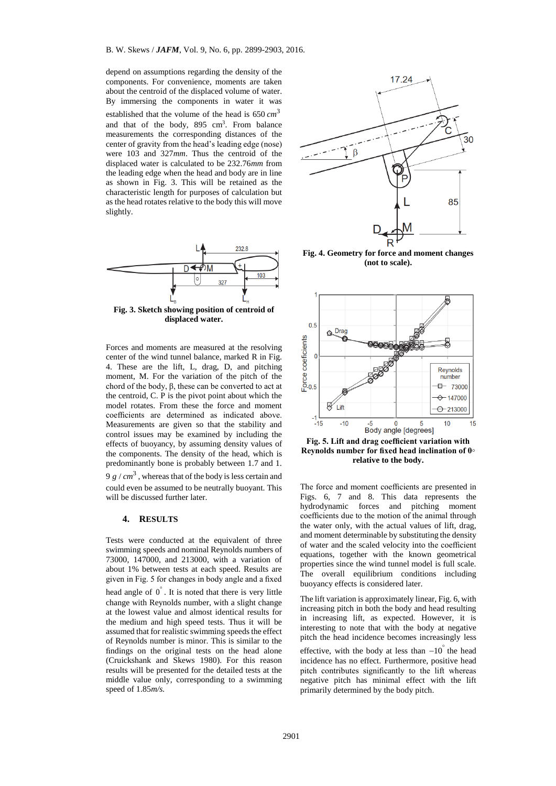depend on assumptions regarding the density of the components. For convenience, moments are taken about the centroid of the displaced volume of water. By immersing the components in water it was established that the volume of the head is 650  $cm^3$ and that of the body, 895 cm<sup>3</sup>. From balance measurements the corresponding distances of the center of gravity from the head's leading edge (nose) were 103 and 327*mm*. Thus the centroid of the displaced water is calculated to be 232.76*mm* from the leading edge when the head and body are in line as shown in Fig. 3. This will be retained as the characteristic length for purposes of calculation but as the head rotates relative to the body this will move slightly.



**Fig. 3. Sketch showing position of centroid of displaced water.**

Forces and moments are measured at the resolving center of the wind tunnel balance, marked R in Fig. 4. These are the lift, L, drag, D, and pitching moment, M. For the variation of the pitch of the chord of the body,  $β$ , these can be converted to act at the centroid, C. P is the pivot point about which the model rotates. From these the force and moment coefficients are determined as indicated above. Measurements are given so that the stability and control issues may be examined by including the effects of buoyancy, by assuming density values of the components. The density of the head, which is predominantly bone is probably between 1.7 and 1. 9  $g / cm<sup>3</sup>$ , whereas that of the body is less certain and could even be assumed to be neutrally buoyant. This will be discussed further later.

#### **4. RESULTS**

Tests were conducted at the equivalent of three swimming speeds and nominal Reynolds numbers of 73000, 147000, and 213000, with a variation of about 1% between tests at each speed. Results are given in Fig. 5 for changes in body angle and a fixed head angle of  $0^{\degree}$ . It is noted that there is very little change with Reynolds number, with a slight change at the lowest value and almost identical results for the medium and high speed tests. Thus it will be assumed that for realistic swimming speeds the effect of Reynolds number is minor. This is similar to the findings on the original tests on the head alone (Cruickshank and Skews 1980). For this reason results will be presented for the detailed tests at the middle value only, corresponding to a swimming speed of 1.85*m/s.*



**Fig. 4. Geometry for force and moment changes (not to scale).**



**Fig. 5. Lift and drag coefficient variation with Reynolds number for fixed head inclination of 0◦ relative to the body.**

The force and moment coefficients are presented in Figs. 6, 7 and 8. This data represents the hydrodynamic forces and pitching moment coefficients due to the motion of the animal through the water only, with the actual values of lift, drag, and moment determinable by substituting the density of water and the scaled velocity into the coefficient equations, together with the known geometrical properties since the wind tunnel model is full scale. The overall equilibrium conditions including buoyancy effects is considered later.

The lift variation is approximately linear, Fig. 6, with increasing pitch in both the body and head resulting in increasing lift, as expected. However, it is interesting to note that with the body at negative pitch the head incidence becomes increasingly less effective, with the body at less than  $-10^{\degree}$  the head incidence has no effect. Furthermore, positive head pitch contributes significantly to the lift whereas negative pitch has minimal effect with the lift primarily determined by the body pitch.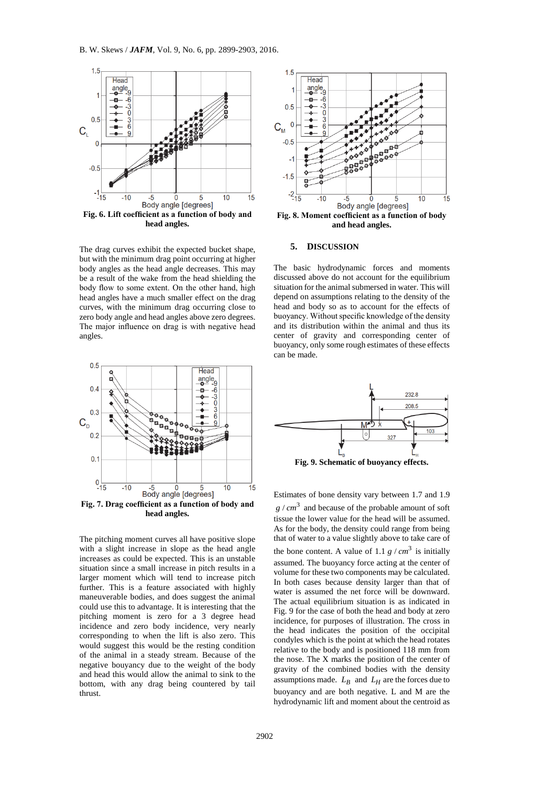

**head angles.**

The drag curves exhibit the expected bucket shape, but with the minimum drag point occurring at higher body angles as the head angle decreases. This may be a result of the wake from the head shielding the body flow to some extent. On the other hand, high head angles have a much smaller effect on the drag curves, with the minimum drag occurring close to zero body angle and head angles above zero degrees. The major influence on drag is with negative head angles.



**head angles.**

The pitching moment curves all have positive slope with a slight increase in slope as the head angle increases as could be expected. This is an unstable situation since a small increase in pitch results in a larger moment which will tend to increase pitch further. This is a feature associated with highly maneuverable bodies, and does suggest the animal could use this to advantage. It is interesting that the pitching moment is zero for a 3 degree head incidence and zero body incidence, very nearly corresponding to when the lift is also zero. This would suggest this would be the resting condition of the animal in a steady stream. Because of the negative bouyancy due to the weight of the body and head this would allow the animal to sink to the bottom, with any drag being countered by tail thrust.



**and head angles.**

#### **5. DISCUSSION**

The basic hydrodynamic forces and moments discussed above do not account for the equilibrium situation for the animal submersed in water. This will depend on assumptions relating to the density of the head and body so as to account for the effects of buoyancy. Without specific knowledge of the density and its distribution within the animal and thus its center of gravity and corresponding center of buoyancy, only some rough estimates of these effects can be made.



Estimates of bone density vary between 1.7 and 1.9  $g / cm<sup>3</sup>$  and because of the probable amount of soft tissue the lower value for the head will be assumed. As for the body, the density could range from being that of water to a value slightly above to take care of the bone content. A value of 1.1  $g / cm^3$  is initially assumed. The buoyancy force acting at the center of volume for these two components may be calculated. In both cases because density larger than that of water is assumed the net force will be downward. The actual equilibrium situation is as indicated in Fig. 9 for the case of both the head and body at zero incidence, for purposes of illustration. The cross in the head indicates the position of the occipital condyles which is the point at which the head rotates relative to the body and is positioned 118 mm from the nose. The X marks the position of the center of gravity of the combined bodies with the density assumptions made.  $L_B$  and  $L_H$  are the forces due to buoyancy and are both negative. L and M are the hydrodynamic lift and moment about the centroid as